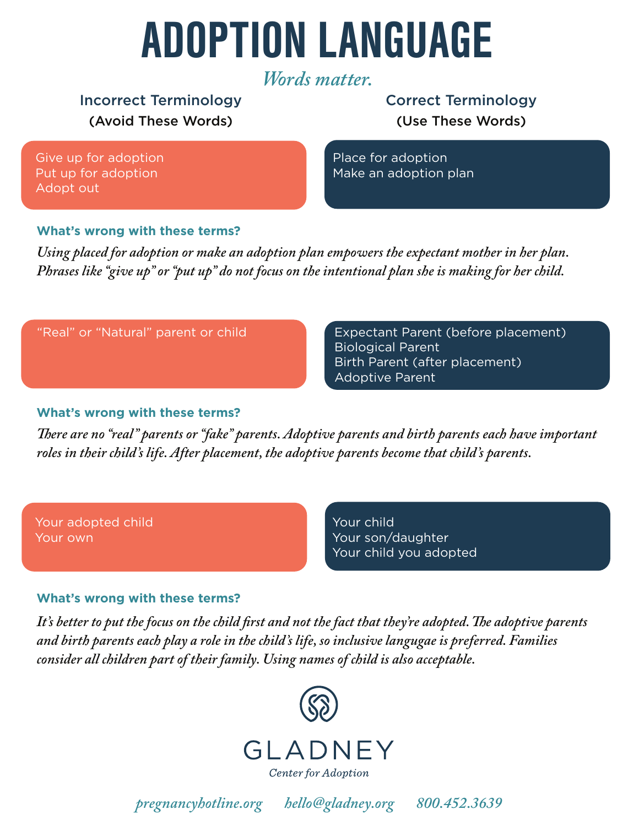# ADOPTION LANGUAGE

## *Words matter.*

## (Avoid These Words) Incorrect Terminology Correct Terminology

(Use These Words)

Give up for adoption Put up for adoption Adopt out

Place for adoption Make an adoption plan

#### **What's wrong with these terms?**

*Using placed for adoption or make an adoption plan empowers the expectant mother in her plan. Phrases like "give up" or "put up" do not focus on the intentional plan she is making for her child.*

#### "Real" or "Natural" parent or child

Expectant Parent (before placement) Biological Parent Birth Parent (after placement) Adoptive Parent

#### **What's wrong with these terms?**

*There are no "real" parents or "fake" parents. Adoptive parents and birth parents each have important roles in their child's life. After placement, the adoptive parents become that child's parents.*

Your adopted child Your own

Your child Your son/daughter Your child you adopted

#### **What's wrong with these terms?**

It's better to put the focus on the child first and not the fact that they're adopted. The adoptive parents *and birth parents each play a role in the child's life, so inclusive langugae is preferred. Families consider all children part of their family. Using names of child is also acceptable.*



*pregnancyhotline.org hello@gladney.org 800.452.3639*